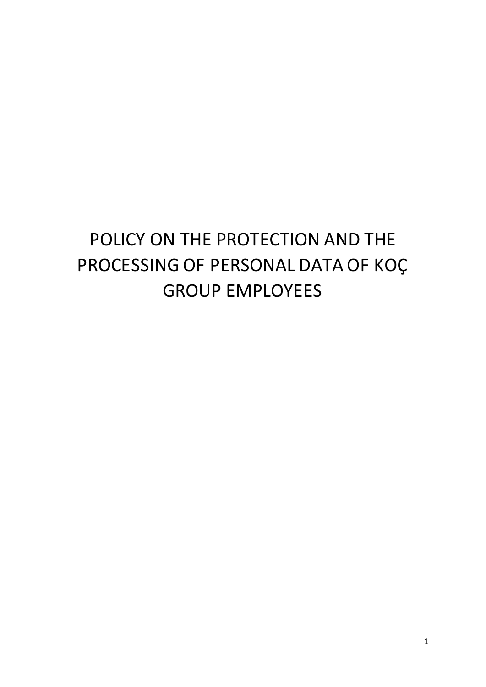# POLICY ON THE PROTECTION AND THE PROCESSING OF PERSONAL DATA OF KOÇ GROUP EMPLOYEES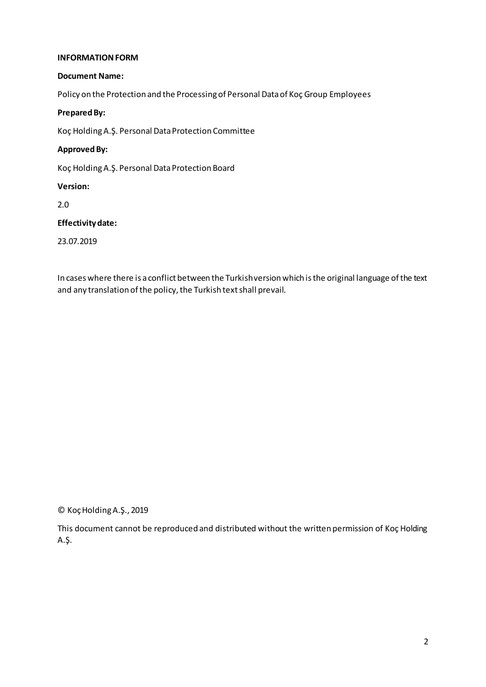#### **INFORMATION FORM**

#### **Document Name:**

Policy on the Protection and the Processing of Personal Data of Koç Group Employees

#### **Prepared By:**

Koç Holding A.Ş. Personal Data Protection Committee

#### **Approved By:**

Koç Holding A.Ş. Personal Data Protection Board

#### **Version:**

2.0

# **Effectivity date:**

23.07.2019

In cases where there is a conflict between the Turkish version which is the original language of the text and any translation of the policy, the Turkish text shall prevail.

© Koç Holding A.Ş., 2019

This document cannot be reproduced and distributed without the written permission of Koç Holding A.Ş.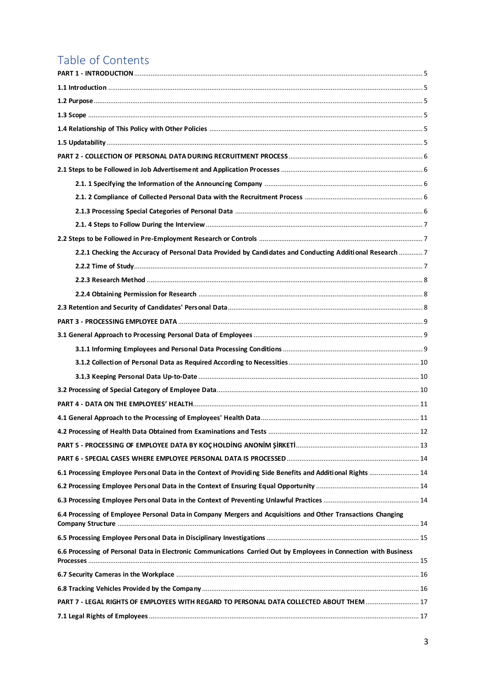# Table of Contents

| 2.2.1 Checking the Accuracy of Personal Data Provided by Candidates and Conducting Additional Research  7         |  |
|-------------------------------------------------------------------------------------------------------------------|--|
|                                                                                                                   |  |
|                                                                                                                   |  |
|                                                                                                                   |  |
|                                                                                                                   |  |
|                                                                                                                   |  |
|                                                                                                                   |  |
|                                                                                                                   |  |
|                                                                                                                   |  |
|                                                                                                                   |  |
|                                                                                                                   |  |
|                                                                                                                   |  |
|                                                                                                                   |  |
|                                                                                                                   |  |
|                                                                                                                   |  |
|                                                                                                                   |  |
| 6.1 Processing Employee Personal Data in the Context of Providing Side Benefits and Additional Rights  14         |  |
|                                                                                                                   |  |
|                                                                                                                   |  |
| 6.4 Processing of Employee Personal Data in Company Mergers and Acquisitions and Other Transactions Changing      |  |
|                                                                                                                   |  |
| 6.6 Processing of Personal Data in Electronic Communications Carried Out by Employees in Connection with Business |  |
|                                                                                                                   |  |
|                                                                                                                   |  |
| PART 7 - LEGAL RIGHTS OF EMPLOYEES WITH REGARD TO PERSONAL DATA COLLECTED ABOUT THEM 17                           |  |
|                                                                                                                   |  |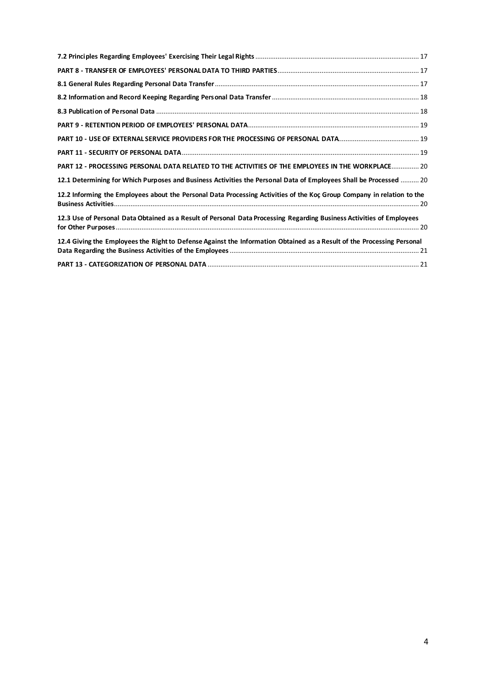| PART 12 - PROCESSING PERSONAL DATA RELATED TO THE ACTIVITIES OF THE EMPLOYEES IN THE WORKPLACE 20                      |
|------------------------------------------------------------------------------------------------------------------------|
| 12.1 Determining for Which Purposes and Business Activities the Personal Data of Employees Shall be Processed  20      |
| 12.2 Informing the Employees about the Personal Data Processing Activities of the Koç Group Company in relation to the |
| 12.3 Use of Personal Data Obtained as a Result of Personal Data Processing Regarding Business Activities of Employees  |
| 12.4 Giving the Employees the Right to Defense Against the Information Obtained as a Result of the Processing Personal |
|                                                                                                                        |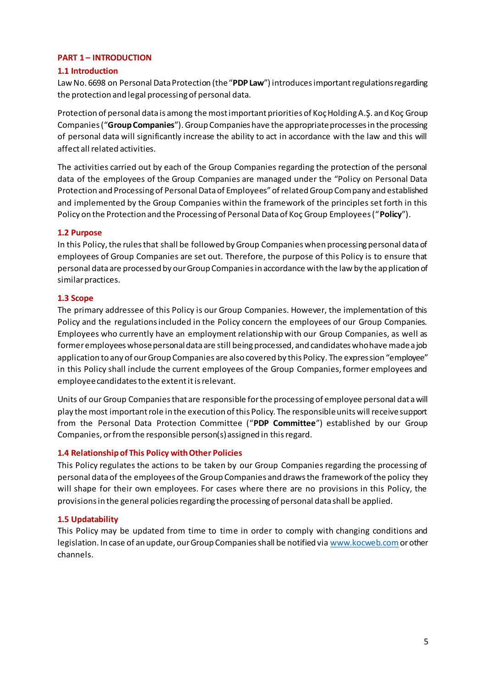#### <span id="page-4-0"></span>**PART 1 – INTRODUCTION**

#### <span id="page-4-1"></span>**1.1 Introduction**

Law No. 6698 on Personal Data Protection (the "**PDP Law**") introduces important regulations regarding the protection and legal processing of personal data.

Protection of personal data is among the most important priorities of Koç Holding A.Ş. and Koç Group Companies ("**Group Companies**"). Group Companies have the appropriate processes in the processing of personal data will significantly increase the ability to act in accordance with the law and this will affect all related activities.

The activities carried out by each of the Group Companies regarding the protection of the personal data of the employees of the Group Companies are managed under the "Policy on Personal Data Protection and Processing of Personal Data of Employees" of related Group Company and established and implemented by the Group Companies within the framework of the principles set forth in this Policy on the Protection and the Processing of Personal Data of Koç Group Employees ("**Policy**").

# <span id="page-4-2"></span>**1.2 Purpose**

In this Policy, the rules that shall be followed by Group Companies when processing personal data of employees of Group Companies are set out. Therefore, the purpose of this Policy is to ensure that personal data are processed by our Group Companies in accordance with the law by the application of similar practices.

#### <span id="page-4-3"></span>**1.3 Scope**

The primary addressee of this Policy is our Group Companies. However, the implementation of this Policy and the regulations included in the Policy concern the employees of our Group Companies. Employees who currently have an employment relationship with our Group Companies, as well as former employees whose personal data are still being processed, and candidates who have made a job application to any of our Group Companies are also covered by this Policy. The expression "employee" in this Policy shall include the current employees of the Group Companies, former employees and employee candidates to the extent it is relevant.

Units of our Group Companies that are responsible for the processing of employee personal data will play the most important role in the execution of this Policy. The responsible units will receive support from the Personal Data Protection Committee ("**PDP Committee**") established by our Group Companies, or from the responsible person(s) assigned in this regard.

# <span id="page-4-4"></span>**1.4 Relationship of This Policy with Other Policies**

This Policy regulates the actions to be taken by our Group Companies regarding the processing of personal data of the employees of the Group Companies and draws the framework of the policy they will shape for their own employees. For cases where there are no provisions in this Policy, the provisions in the general policies regarding the processing of personal data shall be applied.

#### <span id="page-4-5"></span>**1.5 Updatability**

This Policy may be updated from time to time in order to comply with changing conditions and legislation. In case of an update, our Group Companies shall be notified vi[a www.kocweb.com](http://www.kocweb.com/)or other channels.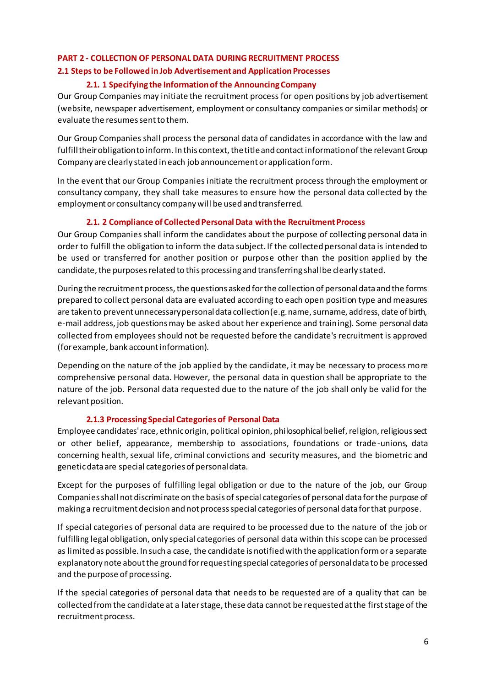# <span id="page-5-0"></span>**PART 2 - COLLECTION OF PERSONAL DATA DURING RECRUITMENT PROCESS**

#### <span id="page-5-2"></span><span id="page-5-1"></span>**2.1 Steps to be Followed in Job Advertisement and Application Processes**

#### **2.1. 1 Specifying the Information of the Announcing Company**

Our Group Companies may initiate the recruitment process for open positions by job advertisement (website, newspaper advertisement, employment or consultancy companies or similar methods) or evaluate the resumes sent to them.

Our Group Companies shall process the personal data of candidates in accordance with the law and fulfill their obligation to inform. In this context, the title and contact information of the relevant Group Company are clearly stated in each job announcement or application form.

In the event that our Group Companies initiate the recruitment process through the employment or consultancy company, they shall take measures to ensure how the personal data collected by the employment or consultancy company will be used and transferred.

# **2.1. 2 Compliance of Collected Personal Data with the Recruitment Process**

<span id="page-5-3"></span>Our Group Companies shall inform the candidates about the purpose of collecting personal data in order to fulfill the obligation to inform the data subject. If the collected personal data is intended to be used or transferred for another position or purpose other than the position applied by the candidate, the purposes related to this processing and transferring shall be clearly stated.

During the recruitment process, the questions asked for the collection of personal data and the forms prepared to collect personal data are evaluated according to each open position type and measures are taken to prevent unnecessary personal data collection (e.g. name, surname, address, date of birth, e-mail address, job questions may be asked about her experience and training). Some personal data collected from employees should not be requested before the candidate's recruitment is approved (for example, bank account information).

Depending on the nature of the job applied by the candidate, it may be necessary to process more comprehensive personal data. However, the personal data in question shall be appropriate to the nature of the job. Personal data requested due to the nature of the job shall only be valid for the relevant position.

# **2.1.3 Processing Special Categories of Personal Data**

<span id="page-5-4"></span>Employee candidates' race, ethnic origin, political opinion, philosophical belief, religion, religious sect or other belief, appearance, membership to associations, foundations or trade -unions, data concerning health, sexual life, criminal convictions and security measures, and the biometric and genetic data are special categories of personal data.

Except for the purposes of fulfilling legal obligation or due to the nature of the job, our Group Companies shall not discriminate on the basis of special categories of personal data for the purpose of making a recruitment decision and not process special categories of personal data for that purpose.

If special categories of personal data are required to be processed due to the nature of the job or fulfilling legal obligation, only special categories of personal data within this scope can be processed as limited as possible. In such a case, the candidate is notified with the application form or a separate explanatory note about the ground for requesting special categories of personal data to be processed and the purpose of processing.

If the special categories of personal data that needs to be requested are of a quality that can be collected from the candidate at a later stage, these data cannot be requested at the first stage of the recruitment process.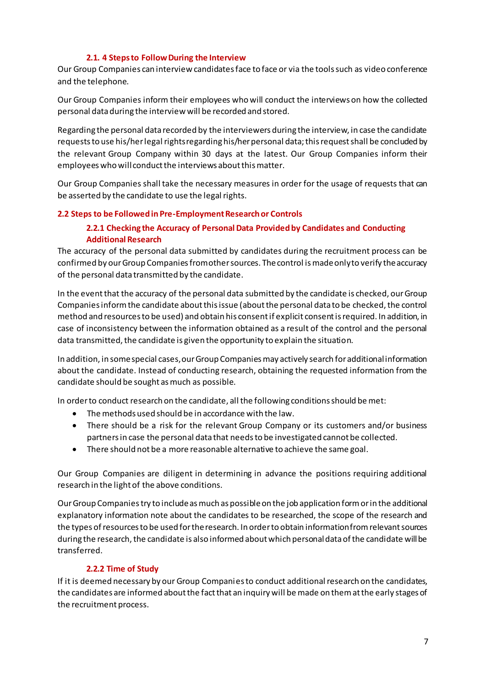# **2.1. 4 Steps to Follow During the Interview**

<span id="page-6-0"></span>Our Group Companies can interview candidates face to face or via the tools such as video conference and the telephone.

Our Group Companies inform their employees who will conduct the interviews on how the collected personal data during the interview will be recorded and stored.

Regarding the personal data recorded by the interviewers during the interview, in case the candidate requests to use his/her legal rights regarding his/her personal data; this request shall be concluded by the relevant Group Company within 30 days at the latest. Our Group Companies inform their employees who will conduct the interviews about this matter.

Our Group Companies shall take the necessary measures in order for the usage of requests that can be asserted by the candidate to use the legal rights.

# <span id="page-6-2"></span><span id="page-6-1"></span>**2.2 Steps to be Followed in Pre-Employment Research or Controls**

# **2.2.1 Checking the Accuracy of Personal Data Provided by Candidates and Conducting Additional Research**

The accuracy of the personal data submitted by candidates during the recruitment process can be confirmed by our Group Companies from other sources. The control is made only to verify the accuracy of the personal data transmitted by the candidate.

In the event that the accuracy of the personal data submitted by the candidate is checked, our Group Companies inform the candidate about this issue (about the personal data to be checked, the control method and resources to be used) and obtain his consent if explicit consent is required. In addition, in case of inconsistency between the information obtained as a result of the control and the personal data transmitted, the candidate is given the opportunity to explain the situation.

In addition, in some special cases, our Group Companies may actively search for additional information about the candidate. Instead of conducting research, obtaining the requested information from the candidate should be sought as much as possible.

In order to conduct research on the candidate, all the following conditions should be met:

- The methods used should be in accordance with the law.
- There should be a risk for the relevant Group Company or its customers and/or business partners in case the personal data that needs to be investigated cannot be collected.
- There should not be a more reasonable alternative to achieve the same goal.

Our Group Companies are diligent in determining in advance the positions requiring additional research in the light of the above conditions.

Our Group Companies try to include as much as possible on the job application form or in the additional explanatory information note about the candidates to be researched, the scope of the research and the types of resources to be used for the research. In order to obtain information from relevant sources during the research, the candidate is also informed about which personal data of the candidate will be transferred.

# **2.2.2 Time of Study**

<span id="page-6-3"></span>If it is deemed necessary by our Group Companies to conduct additional research on the candidates, the candidates are informed about the fact that an inquiry will be made on them at the early stages of the recruitment process.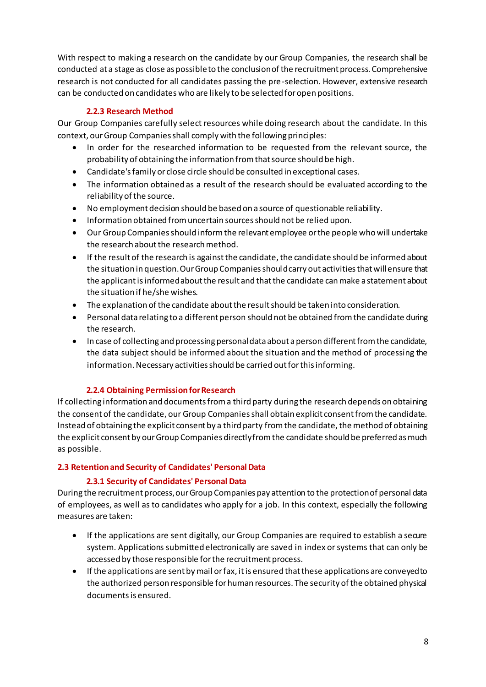With respect to making a research on the candidate by our Group Companies, the research shall be conducted at a stage as close as possible to the conclusion of the recruitment process. Comprehensive research is not conducted for all candidates passing the pre-selection. However, extensive research can be conducted on candidates who are likely to be selected for open positions.

# **2.2.3 Research Method**

<span id="page-7-0"></span>Our Group Companies carefully select resources while doing research about the candidate. In this context, our Group Companies shall comply with the following principles:

- In order for the researched information to be requested from the relevant source, the probability of obtaining the information from that source should be high.
- Candidate's family or close circle should be consulted in exceptional cases.
- The information obtained as a result of the research should be evaluated according to the reliability of the source.
- No employment decision should be based on a source of questionable reliability.
- Information obtained from uncertain sources should not be relied upon.
- Our Group Companies should inform the relevant employee or the people who will undertake the research about the research method.
- If the result of the research is against the candidate, the candidate should be informed about the situation in question. Our Group Companies should carry out activities that will ensure that the applicant is informed about the result and that the candidate can make a statement about the situation if he/she wishes.
- The explanation of the candidate about the result should be taken into consideration.
- Personal data relating to a different person should not be obtained from the candidate during the research.
- In case of collecting and processing personal data about a person different from the candidate, the data subject should be informed about the situation and the method of processing the information. Necessary activities should be carried out for this informing.

# **2.2.4 Obtaining Permission for Research**

<span id="page-7-1"></span>If collecting information and documents from a third party during the research depends on obtaining the consent of the candidate, our Group Companies shall obtain explicit consent from the candidate. Instead of obtaining the explicit consent by a third party from the candidate, the method of obtaining the explicit consent by our Group Companies directly from the candidate should be preferred as much as possible.

# <span id="page-7-2"></span>**2.3 Retention and Security of Candidates' Personal Data**

# **2.3.1 Security of Candidates' Personal Data**

During the recruitment process, our Group Companies pay attention to the protection of personal data of employees, as well as to candidates who apply for a job. In this context, especially the following measures are taken:

- If the applications are sent digitally, our Group Companies are required to establish a secure system. Applications submitted electronically are saved in index or systems that can only be accessed by those responsible for the recruitment process.
- If the applications are sent by mail or fax, it is ensured that these applications are conveyed to the authorized person responsible for human resources. The security of the obtained physical documents is ensured.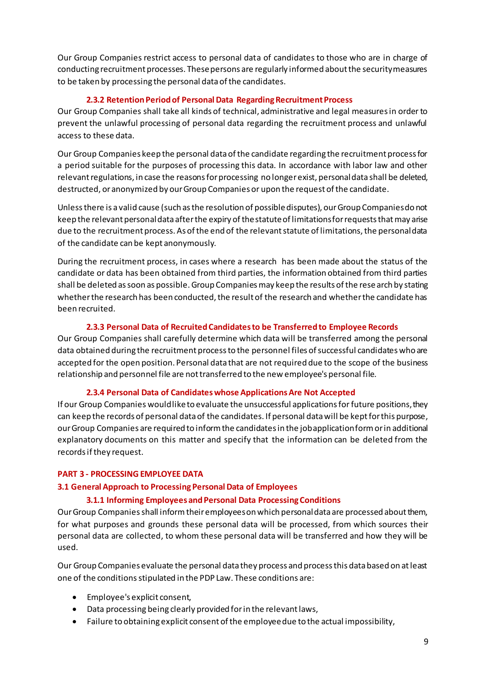Our Group Companies restrict access to personal data of candidates to those who are in charge of conducting recruitment processes. These persons are regularly informed about the security measures to be taken by processing the personal data of the candidates.

#### **2.3.2 Retention Period of Personal Data Regarding Recruitment Process**

Our Group Companies shall take all kinds of technical, administrative and legal measures in order to prevent the unlawful processing of personal data regarding the recruitment process and unlawful access to these data.

Our Group Companies keep the personal data of the candidate regarding the recruitment process for a period suitable for the purposes of processing this data. In accordance with labor law and other relevant regulations, in case the reasons for processing no longer exist, personal data shall be deleted, destructed, or anonymized by our Group Companies or upon the request of the candidate.

Unless there is a valid cause (such as the resolution of possible disputes), our Group Companies do not keep the relevant personal data after the expiry of the statute of limitations for requests that may arise due to the recruitment process. As of the end of the relevant statute of limitations, the personal data of the candidate can be kept anonymously.

During the recruitment process, in cases where a research has been made about the status of the candidate or data has been obtained from third parties, the information obtained from third parties shall be deleted as soon as possible. Group Companies may keep the results of the rese arch by stating whether the research has been conducted, the result of the research and whether the candidate has been recruited.

# **2.3.3 Personal Data of Recruited Candidates to be Transferred to Employee Records**

Our Group Companies shall carefully determine which data will be transferred among the personal data obtained during the recruitment process to the personnel files of successful candidates who are accepted for the open position. Personal data that are not required due to the scope of the business relationship and personnel file are not transferred to the new employee's personal file.

# **2.3.4 Personal Data of Candidates whose Applications Are Not Accepted**

If our Group Companies would liketo evaluate the unsuccessful applications for future positions, they can keep the records of personal data of the candidates. If personal data will be kept for this purpose, our Group Companies are required to inform the candidates in the job application form or in additional explanatory documents on this matter and specify that the information can be deleted from the records if they request.

#### <span id="page-8-0"></span>**PART 3 - PROCESSING EMPLOYEE DATA**

# <span id="page-8-2"></span><span id="page-8-1"></span>**3.1 General Approach to Processing Personal Data of Employees**

#### **3.1.1 Informing Employees and Personal Data Processing Conditions**

Our Group Companies shall inform their employees on which personal data are processed about them, for what purposes and grounds these personal data will be processed, from which sources their personal data are collected, to whom these personal data will be transferred and how they will be used.

Our Group Companies evaluate the personal data they process and process this data based on at least one of the conditions stipulated in the PDP Law. These conditions are:

- Employee's explicit consent,
- Data processing being clearly provided forin the relevant laws,
- Failure to obtaining explicit consent of the employee due to the actual impossibility,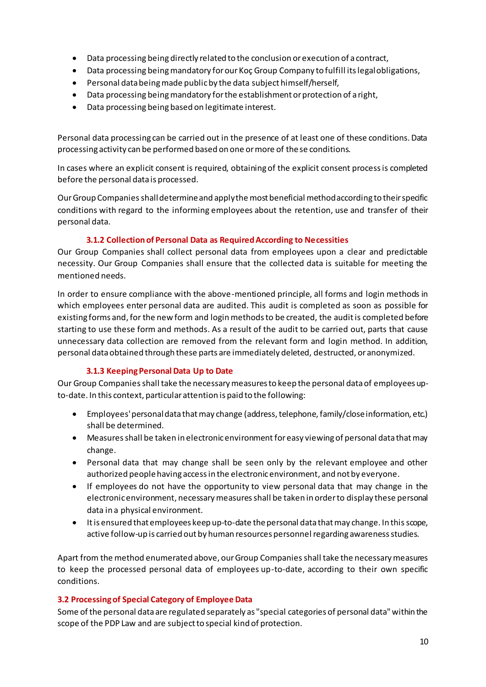- Data processing being directly related to the conclusion or execution of a contract,
- Data processing beingmandatory for our Koç Group Company to fulfill its legal obligations,
- Personal data being made public by the data subject himself/herself,
- $\bullet$  Data processing being mandatory for the establishment or protection of a right,
- Data processing being based on legitimate interest.

Personal data processing can be carried out in the presence of at least one of these conditions. Data processing activity can be performed based on one or more of these conditions.

In cases where an explicit consent is required, obtaining of the explicit consent process is completed before the personal data is processed.

Our Group Companies shall determine and apply the most beneficial method according to their specific conditions with regard to the informing employees about the retention, use and transfer of their personal data.

# **3.1.2 Collection of Personal Data as Required According to Necessities**

<span id="page-9-0"></span>Our Group Companies shall collect personal data from employees upon a clear and predictable necessity. Our Group Companies shall ensure that the collected data is suitable for meeting the mentioned needs.

In order to ensure compliance with the above-mentioned principle, all forms and login methods in which employees enter personal data are audited. This audit is completed as soon as possible for existing forms and, for the new form and login methods to be created, the audit is completed before starting to use these form and methods. As a result of the audit to be carried out, parts that cause unnecessary data collection are removed from the relevant form and login method. In addition, personal data obtained through these parts are immediately deleted, destructed, or anonymized.

# **3.1.3 Keeping Personal Data Up to Date**

<span id="page-9-1"></span>Our Group Companiesshall take the necessary measures to keep the personal data of employees upto-date. In this context, particular attention is paid to the following:

- Employees' personal data that may change (address, telephone, family/close information, etc.) shall be determined.
- Measures shall be taken in electronic environmentfor easy viewing of personal data that may change.
- Personal data that may change shall be seen only by the relevant employee and other authorized people having accessin the electronic environment, and not by everyone.
- If employees do not have the opportunity to view personal data that may change in the electronic environment, necessary measures shall be taken in order to display these personal data in a physical environment.
- It is ensured that employees keep up-to-date thepersonal data that may change. In this scope, active follow-up is carried out by human resources personnel regarding awareness studies.

Apart from the method enumerated above, our Group Companies shall take the necessary measures to keep the processed personal data of employees up-to-date, according to their own specific conditions.

# <span id="page-9-2"></span>**3.2 Processing of Special Category of Employee Data**

Some of the personal data are regulated separately as "special categories of personal data" within the scope of the PDP Law and are subject to special kind of protection.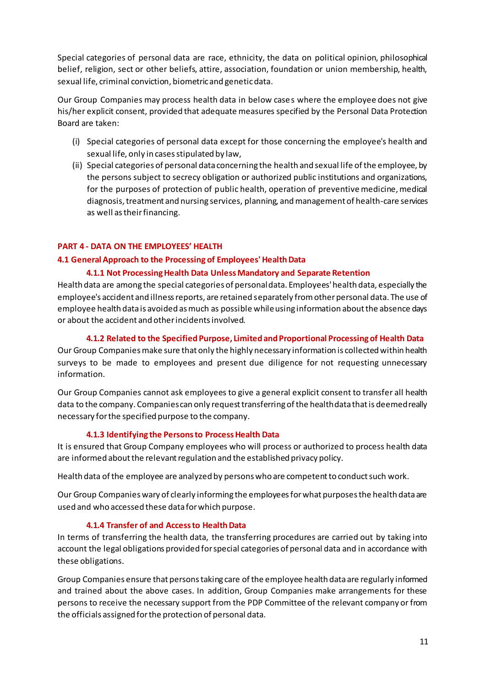Special categories of personal data are race, ethnicity, the data on political opinion, philosophical belief, religion, sect or other beliefs, attire, association, foundation or union membership, health, sexual life, criminal conviction, biometric and genetic data.

Our Group Companies may process health data in below cases where the employee does not give his/her explicit consent, provided that adequate measures specified by the Personal Data Protection Board are taken:

- (i) Special categories of personal data except for those concerning the employee's health and sexual life, only in cases stipulated by law,
- (ii) Special categories of personal data concerning the health and sexual life of the employee, by the persons subject to secrecy obligation or authorized public institutions and organizations, for the purposes of protection of public health, operation of preventive medicine, medical diagnosis, treatment and nursing services, planning, and management of health-care services as well as their financing.

#### <span id="page-10-0"></span>**PART 4 - DATA ON THE EMPLOYEES' HEALTH**

#### <span id="page-10-1"></span>**4.1 General Approach to the Processing of Employees' Health Data**

#### **4.1.1 Not Processing Health Data Unless Mandatory and Separate Retention**

Health data are among the special categories of personal data. Employees' health data, especially the employee's accident and illness reports, are retained separately from other personal data. The use of employee health data is avoided as much as possible while using information about the absence days or about the accident and other incidents involved.

#### **4.1.2 Related to the Specified Purpose, Limited and Proportional Processing of Health Data**

Our Group Companies make sure that only the highly necessary information is collected within health surveys to be made to employees and present due diligence for not requesting unnecessary information.

Our Group Companies cannot ask employees to give a general explicit consent to transfer all health data to the company. Companies can only request transferring of the health data that is deemed really necessary for the specified purpose to the company.

#### **4.1.3 Identifying the Persons to Process Health Data**

It is ensured that Group Company employees who will process or authorized to process health data are informed about the relevant regulation and the established privacy policy.

Health data of the employee are analyzed by persons who are competent to conduct such work.

Our Group Companies wary of clearly informing the employees for what purposes the health data are used and who accessed these data for which purpose.

#### **4.1.4 Transfer of and Access to Health Data**

In terms of transferring the health data, the transferring procedures are carried out by taking into account the legal obligations provided for special categories of personal data and in accordance with these obligations.

Group Companies ensure that persons taking care of the employee health data are regularly informed and trained about the above cases. In addition, Group Companies make arrangements for these persons to receive the necessary support from the PDP Committee of the relevant company or from the officials assigned for the protection of personal data.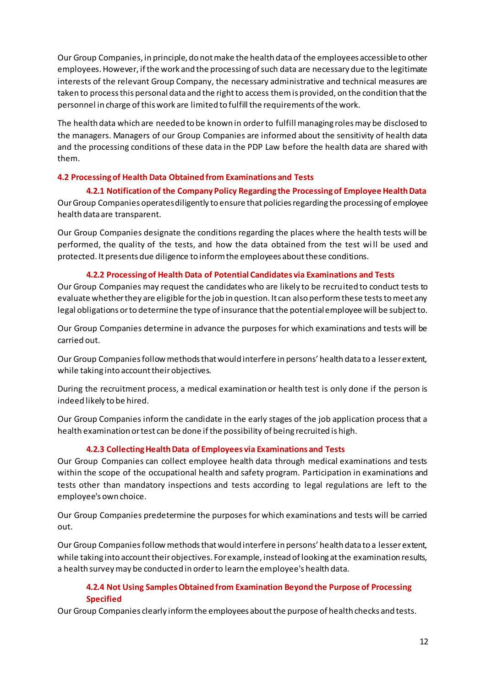Our Group Companies, in principle, do not make the health data of the employees accessible to other employees. However, if the work and the processing of such data are necessary due to the legitimate interests of the relevant Group Company, the necessary administrative and technical measures are taken to process this personal data and the right to access them is provided, on the condition that the personnel in charge of this work are limited to fulfill the requirements of the work.

The health data which are needed to be known in order to fulfill managing roles may be disclosed to the managers. Managers of our Group Companies are informed about the sensitivity of health data and the processing conditions of these data in the PDP Law before the health data are shared with them.

#### <span id="page-11-0"></span>**4.2 Processing of Health Data Obtained from Examinations and Tests**

**4.2.1 Notification of the Company Policy Regarding the Processing of Employee Health Data**  Our Group Companies operates diligently to ensure that policies regarding the processing of employee health data are transparent.

Our Group Companies designate the conditions regarding the places where the health tests will be performed, the quality of the tests, and how the data obtained from the test wi ll be used and protected. It presents due diligence to inform the employees about these conditions.

#### **4.2.2 Processing of Health Data of Potential Candidates via Examinations and Tests**

Our Group Companies may request the candidates who are likely to be recruited to conduct tests to evaluate whether they are eligible for the job in question. It can also perform these tests to meet any legal obligations or to determine the type of insurance that the potential employee will be subject to.

Our Group Companies determine in advance the purposes for which examinations and tests will be carried out.

Our Group Companies follow methods that would interfere in persons' health data to a lesser extent, while taking into account their objectives.

During the recruitment process, a medical examination or health test is only done if the person is indeed likely to be hired.

Our Group Companies inform the candidate in the early stages of the job application process that a health examination or test can be done if the possibility of being recruited is high.

#### **4.2.3 Collecting Health Data of Employees via Examinations and Tests**

Our Group Companies can collect employee health data through medical examinations and tests within the scope of the occupational health and safety program. Participation in examinations and tests other than mandatory inspections and tests according to legal regulations are left to the employee's own choice.

Our Group Companies predetermine the purposes for which examinations and tests will be carried out.

Our Group Companies follow methods that would interfere in persons' health data to a lesser extent, while taking into account their objectives. For example, instead of looking at the examination results, a health survey may be conducted in order to learn the employee's health data.

# **4.2.4 Not Using Samples Obtained from Examination Beyond the Purpose of Processing Specified**

Our Group Companies clearly inform the employees about the purpose of health checks and tests.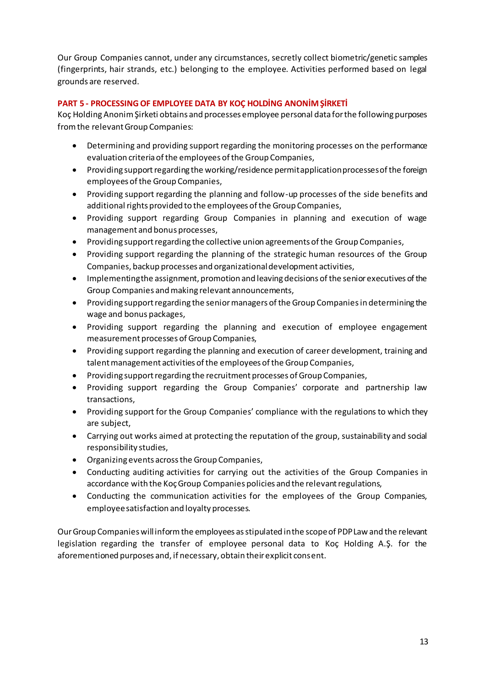Our Group Companies cannot, under any circumstances, secretly collect biometric/genetic samples (fingerprints, hair strands, etc.) belonging to the employee. Activities performed based on legal grounds are reserved.

# <span id="page-12-0"></span>**PART 5 - PROCESSING OF EMPLOYEE DATA BY KOÇ HOLDİNG ANONİM ŞİRKETİ**

Koç HoldingAnonim Şirketi obtains and processes employee personal data for the following purposes from the relevant Group Companies:

- Determining and providing support regarding the monitoring processes on the performance evaluation criteria of the employees of the Group Companies,
- Providing support regarding the working/residence permit application processes of the foreign employees of the Group Companies,
- Providing support regarding the planning and follow-up processes of the side benefits and additional rights provided to the employees of the Group Companies,
- Providing support regarding Group Companies in planning and execution of wage management and bonus processes,
- Providing support regarding the collective union agreements of the Group Companies,
- Providing support regarding the planning of the strategic human resources of the Group Companies, backup processes and organizational development activities,
- Implementing the assignment, promotion and leaving decisions of the senior executives of the Group Companies and making relevant announcements,
- Providing support regarding the senior managers of the Group Companies in determining the wage and bonus packages,
- Providing support regarding the planning and execution of employee engagement measurement processes of Group Companies,
- Providing support regarding the planning and execution of career development, training and talent management activities of the employees of the Group Companies,
- Providing support regarding the recruitment processes of Group Companies,
- Providing support regarding the Group Companies' corporate and partnership law transactions,
- Providing support for the Group Companies' compliance with the regulations to which they are subject,
- Carrying out works aimed at protecting the reputation of the group, sustainability and social responsibility studies,
- Organizing events across the Group Companies,
- Conducting auditing activities for carrying out the activities of the Group Companies in accordance with the Koç Group Companies policies and the relevant regulations,
- Conducting the communication activities for the employees of the Group Companies, employee satisfaction and loyalty processes.

Our Group Companies will inform the employees as stipulated in the scope of PDP Law and the relevant legislation regarding the transfer of employee personal data to Koç Holding A.Ş. for the aforementioned purposes and, if necessary, obtain their explicit consent.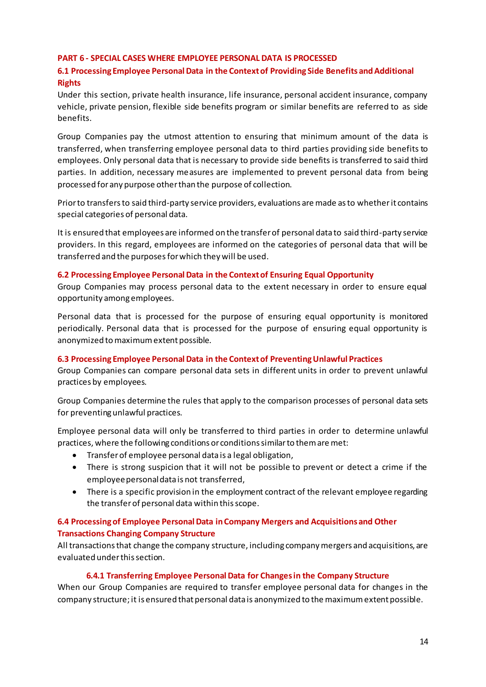#### <span id="page-13-0"></span>**PART 6 - SPECIAL CASES WHERE EMPLOYEE PERSONAL DATA IS PROCESSED**

# <span id="page-13-1"></span>**6.1 Processing Employee Personal Data in the Context of Providing Side Benefits and Additional Rights**

Under this section, private health insurance, life insurance, personal accident insurance, company vehicle, private pension, flexible side benefits program or similar benefits are referred to as side benefits.

Group Companies pay the utmost attention to ensuring that minimum amount of the data is transferred, when transferring employee personal data to third parties providing side benefits to employees. Only personal data that is necessary to provide side benefits is transferred to said third parties. In addition, necessary measures are implemented to prevent personal data from being processed for any purpose other than the purpose of collection.

Prior to transfers to said third-party service providers, evaluations are made as to whether it contains special categories of personal data.

It is ensured that employees are informed on the transfer of personal data to said third-party service providers. In this regard, employees are informed on the categories of personal data that will be transferred and the purposesfor which they will be used.

#### <span id="page-13-2"></span>**6.2 Processing Employee Personal Data in the Context of Ensuring Equal Opportunity**

Group Companies may process personal data to the extent necessary in order to ensure equal opportunity among employees.

Personal data that is processed for the purpose of ensuring equal opportunity is monitored periodically. Personal data that is processed for the purpose of ensuring equal opportunity is anonymized to maximum extent possible.

#### <span id="page-13-3"></span>**6.3 Processing Employee Personal Data in the Context of Preventing Unlawful Practices**

Group Companies can compare personal data sets in different units in order to prevent unlawful practices by employees.

Group Companies determine the rules that apply to the comparison processes of personal data sets for preventing unlawful practices.

Employee personal data will only be transferred to third parties in order to determine unlawful practices, where the following conditions or conditions similar to them are met:

- Transfer of employee personal data is a legal obligation,
- There is strong suspicion that it will not be possible to prevent or detect a crime if the employee personal data is not transferred,
- There is a specific provision in the employment contract of the relevant employee regarding the transferof personal data within this scope.

# <span id="page-13-4"></span>**6.4 Processing of Employee Personal Data in Company Mergers and Acquisitions and Other Transactions Changing Company Structure**

All transactions that change the company structure, including company mergers and acquisitions, are evaluated under this section.

#### **6.4.1 Transferring Employee Personal Data for Changes in the Company Structure**

When our Group Companies are required to transfer employee personal data for changes in the company structure; it is ensured that personal data is anonymized to the maximum extent possible.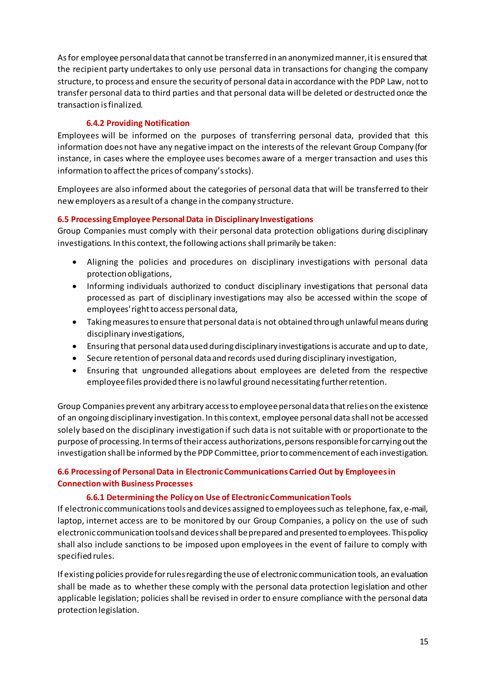As for employee personal data that cannot be transferred in an anonymized manner, it is ensured that the recipient party undertakes to only use personal data in transactions for changing the company structure, to process and ensure the security of personal data in accordance with the PDP Law, not to transfer personal data to third parties and that personal data will be deleted or destructed once the transaction is finalized.

# **6.4.2 Providing Notification**

Employees will be informed on the purposes of transferring personal data, provided that this information does not have any negative impact on the interests of the relevant Group Company (for instance, in cases where the employee uses becomes aware of a merger transaction and uses this information to affect the prices of company's stocks).

Employees are also informed about the categories of personal data that will be transferred to their new employers as a result of a change in the company structure.

# <span id="page-14-0"></span>**6.5 Processing Employee Personal Data in Disciplinary Investigations**

Group Companies must comply with their personal data protection obligations during disciplinary investigations. In this context, the following actions shall primarily be taken:

- Aligning the policies and procedures on disciplinary investigations with personal data protection obligations,
- Informing individuals authorized to conduct disciplinary investigations that personal data processed as part of disciplinary investigations may also be accessed within the scope of employees' right to access personal data,
- Taking measures to ensure that personal data is not obtained through unlawful means during disciplinary investigations,
- Ensuring that personal data used during disciplinary investigations is accurate and up to date,
- Secure retention of personal data and records used during disciplinary investigation,
- Ensuring that ungrounded allegations about employees are deleted from the respective employee files provided there is no lawful ground necessitating further retention.

Group Companies prevent any arbitrary access to employee personal data that relies on the existence of an ongoing disciplinary investigation. In this context, employee personal data shall not be accessed solely based on the disciplinary investigation if such data is not suitable with or proportionate to the purpose of processing. In terms of their access authorizations, persons responsible for carrying out the investigation shall be informed by the PDP Committee, prior to commencement of each investigation.

# <span id="page-14-1"></span>**6.6 Processing of Personal Data in Electronic Communications Carried Out by Employees in Connection with Business Processes**

# **6.6.1 Determining the Policy on Use of Electronic Communication Tools**

If electronic communications tools and devices assigned to employees such as telephone, fax, e-mail, laptop, internet access are to be monitored by our Group Companies, a policy on the use of such electronic communication tools and devices shall be prepared and presented to employees. This policy shall also include sanctions to be imposed upon employees in the event of failure to comply with specified rules.

If existing policies provide for rules regarding the use of electronic communication tools, an evaluation shall be made as to whether these comply with the personal data protection legislation and other applicable legislation; policies shall be revised in order to ensure compliance with the personal data protection legislation.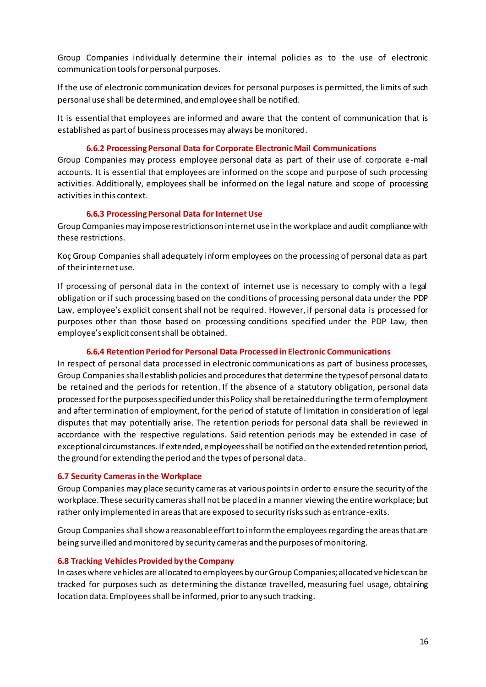Group Companies individually determine their internal policies as to the use of electronic communication tools for personal purposes.

If the use of electronic communication devices for personal purposes is permitted, the limits of such personal use shall be determined, and employee shall be notified.

It is essential that employees are informed and aware that the content of communication that is established as part of business processes may always be monitored.

#### **6.6.2 Processing Personal Data for Corporate Electronic Mail Communications**

Group Companies may process employee personal data as part of their use of corporate e-mail accounts. It is essential that employees are informed on the scope and purpose of such processing activities. Additionally, employees shall be informed on the legal nature and scope of processing activitiesin this context.

#### **6.6.3 Processing Personal Data for Internet Use**

Group Companies may impose restrictions on internet use in the workplace and audit compliance with these restrictions.

Koç Group Companies shall adequately inform employees on the processing of personal data as part of their internet use.

If processing of personal data in the context of internet use is necessary to comply with a legal obligation or if such processing based on the conditions of processing personal data under the PDP Law, employee's explicit consent shall not be required. However, if personal data is processed for purposes other than those based on processing conditions specified under the PDP Law, then employee's explicit consent shall be obtained.

# **6.6.4 Retention Period for Personal Data Processed in Electronic Communications**

In respect of personal data processed in electronic communications as part of business processes, Group Companies shall establish policies and procedures that determine the types of personal data to be retained and the periods for retention. If the absence of a statutory obligation, personal data processed for the purposes specified under this Policy shall be retained during the term of employment and after termination of employment, for the period of statute of limitation in consideration of legal disputes that may potentially arise. The retention periods for personal data shall be reviewed in accordance with the respective regulations. Said retention periods may be extended in case of exceptional circumstances. If extended, employees shall be notified on the extended retention period, the ground for extending the period and the types of personal data.

#### <span id="page-15-0"></span>**6.7 Security Cameras in the Workplace**

Group Companies may place security cameras at various points in order to ensure the security of the workplace. These security cameras shall not be placed in a manner viewing the entire workplace; but rather only implemented in areas that are exposed to security risks such as entrance-exits.

Group Companies shall show a reasonable effort to inform the employees regarding the areas that are being surveilled and monitored by security cameras and the purposes of monitoring.

#### <span id="page-15-1"></span>**6.8 Tracking Vehicles Provided by the Company**

In cases where vehicles are allocated to employees by our Group Companies; allocated vehicles can be tracked for purposes such as determining the distance travelled, measuring fuel usage, obtaining location data. Employees shall be informed, prior to any such tracking.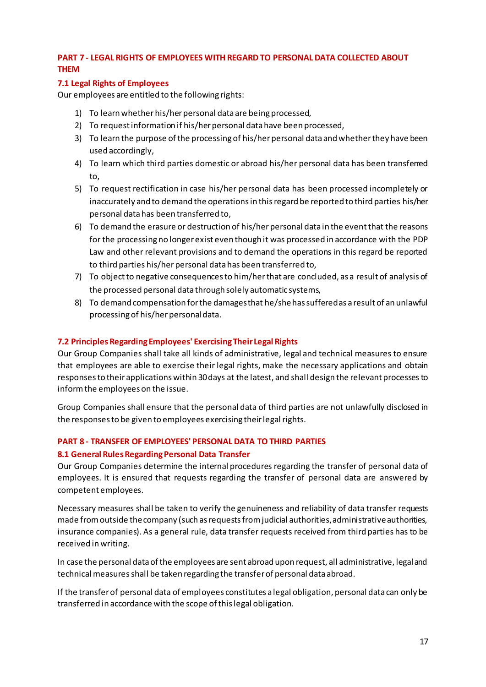# <span id="page-16-0"></span>**PART 7 - LEGAL RIGHTS OF EMPLOYEES WITH REGARD TO PERSONAL DATA COLLECTED ABOUT THEM**

# <span id="page-16-1"></span>**7.1 Legal Rights of Employees**

Our employees are entitled to the following rights:

- 1) To learn whether his/her personal data are being processed,
- 2) To request information if his/her personal data have been processed,
- 3) To learn the purpose of the processing of his/her personal data and whether they have been used accordingly,
- 4) To learn which third parties domestic or abroad his/her personal data has been transferred to,
- 5) To request rectification in case his/her personal data has been processed incompletely or inaccurately and to demand the operations in this regard be reported to third parties his/her personal data has been transferred to,
- 6) To demand the erasure or destruction of his/herpersonal data in the event that the reasons for the processing no longer exist even though it was processed in accordance with the PDP Law and other relevant provisions and to demand the operations in this regard be reported to third parties his/her personal data has been transferred to,
- 7) To object to negative consequences to him/herthat are concluded, as a result of analysis of the processed personal data through solely automatic systems,
- 8) To demand compensation for the damages that he/shehassuffered as a result of an unlawful processing of his/her personal data.

# <span id="page-16-2"></span>**7.2 Principles Regarding Employees' Exercising Their Legal Rights**

Our Group Companies shall take all kinds of administrative, legal and technical measures to ensure that employees are able to exercise their legal rights, make the necessary applications and obtain responsesto their applications within 30 days at the latest, and shall design the relevant processes to inform the employees on the issue.

Group Companies shall ensure that the personal data of third parties are not unlawfully disclosed in the responses to be given to employees exercising their legal rights.

# <span id="page-16-3"></span>**PART 8 - TRANSFER OF EMPLOYEES' PERSONAL DATA TO THIRD PARTIES**

# <span id="page-16-4"></span>**8.1 General Rules Regarding Personal Data Transfer**

Our Group Companies determine the internal procedures regarding the transfer of personal data of employees. It is ensured that requests regarding the transfer of personal data are answered by competent employees.

Necessary measures shall be taken to verify the genuineness and reliability of data transfer requests made from outside the company (such as requests from judicial authorities, administrative authorities, insurance companies). As a general rule, data transfer requests received from third parties has to be received in writing.

In case the personal data of the employees are sent abroad upon request, all administrative, legal and technical measures shall be taken regarding the transfer of personal data abroad.

If the transfer of personal data of employees constitutes a legal obligation, personal data can only be transferred in accordance with the scope of this legal obligation.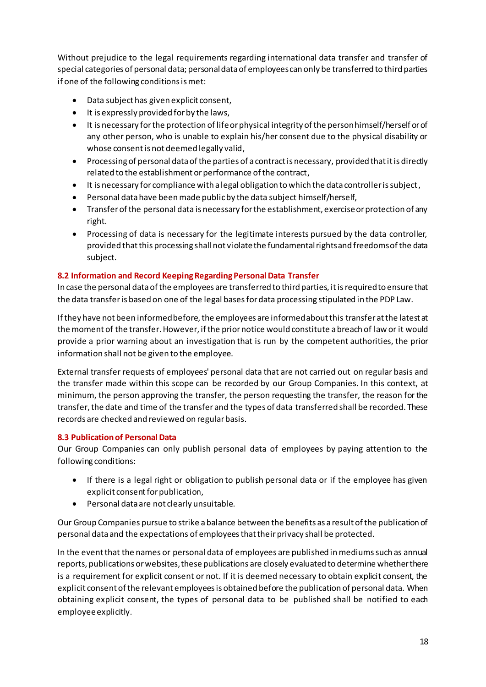Without prejudice to the legal requirements regarding international data transfer and transfer of special categories of personal data; personal data of employees can only be transferred to third parties if one of the following conditions is met:

- Data subject has given explicit consent,
- $\bullet$  It is expressly provided for by the laws,
- It is necessary for the protection of life or physical integrity of the person himself/herself or of any other person, who is unable to explain his/her consent due to the physical disability or whose consent is not deemed legally valid,
- Processing of personal data of the parties of a contract is necessary, provided that it is directly related to the establishment or performance of the contract,
- It is necessary for compliance with a legal obligation to which the data controller is subject,
- Personal data have been made public by the data subject himself/herself,
- Transfer of the personal data is necessary for the establishment, exercise or protection of any right.
- Processing of data is necessary for the legitimate interests pursued by the data controller, provided that this processing shall not violate the fundamental rights and freedoms of the data subject.

# <span id="page-17-0"></span>**8.2 Information and Record Keeping Regarding Personal Data Transfer**

In case the personal data of the employees are transferred to third parties, it is requiredto ensure that the data transferis based on one of the legal basesfor data processing stipulated in the PDP Law.

If they have not been informed before, the employees are informed about this transfer at the latest at the moment of the transfer. However, if the prior notice would constitute a breach of law or it would provide a prior warning about an investigation that is run by the competent authorities, the prior information shall not be given to the employee.

External transfer requests of employees' personal data that are not carried out on regular basis and the transfer made within this scope can be recorded by our Group Companies. In this context, at minimum, the person approving the transfer, the person requesting the transfer, the reason for the transfer, the date and time of the transfer and the types of data transferred shall be recorded. These records are checked and reviewed on regular basis.

# <span id="page-17-1"></span>**8.3 Publication of Personal Data**

Our Group Companies can only publish personal data of employees by paying attention to the following conditions:

- If there is a legal right or obligation to publish personal data or if the employee has given explicit consent for publication,
- Personal data are not clearly unsuitable.

Our Group Companies pursue to strike a balance between the benefits as a result of the publication of personal data and the expectations of employeesthat theirprivacy shall be protected.

In the event that the names or personal data of employees are published in mediumssuch as annual reports, publications or websites, these publications are closely evaluated to determine whether there is a requirement for explicit consent or not. If it is deemed necessary to obtain explicit consent, the explicit consent of the relevant employees is obtained before the publication of personal data. When obtaining explicit consent, the types of personal data to be published shall be notified to each employee explicitly.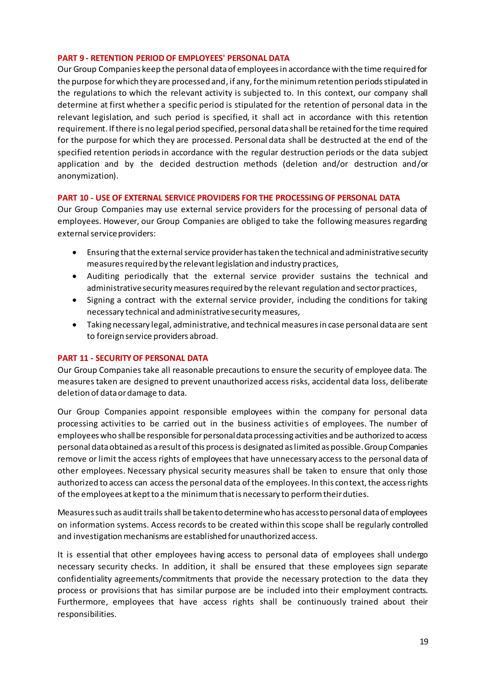#### <span id="page-18-0"></span>**PART 9 - RETENTION PERIOD OF EMPLOYEES' PERSONAL DATA**

Our Group Companies keep the personal data of employees in accordance with the time required for the purpose for which they are processed and, if any, for the minimum retention periods stipulated in the regulations to which the relevant activity is subjected to. In this context, our company shall determine at first whether a specific period is stipulated for the retention of personal data in the relevant legislation, and such period is specified, it shall act in accordance with this retention requirement. If there is no legal period specified, personal data shall be retained for the time required for the purpose for which they are processed. Personal data shall be destructed at the end of the specified retention periods in accordance with the regular destruction periods or the data subject application and by the decided destruction methods (deletion and/or destruction and/or anonymization).

#### <span id="page-18-1"></span>**PART 10 - USE OF EXTERNAL SERVICE PROVIDERS FOR THE PROCESSING OF PERSONAL DATA**

Our Group Companies may use external service providers for the processing of personal data of employees. However, our Group Companies are obliged to take the following measures regarding external service providers:

- Ensuring that the external service provider has taken the technical and administrative security measures required by the relevant legislation and industry practices,
- Auditing periodically that the external service provider sustains the technical and administrative security measures required by the relevant regulation and sector practices,
- Signing a contract with the external service provider, including the conditions for taking necessary technical and administrative security measures,
- Taking necessary legal, administrative, and technical measures in case personal data are sent to foreign service providers abroad.

#### <span id="page-18-2"></span>**PART 11 - SECURITY OF PERSONAL DATA**

Our Group Companies take all reasonable precautions to ensure the security of employee data. The measures taken are designed to prevent unauthorized access risks, accidental data loss, deliberate deletion of data or damage to data.

Our Group Companies appoint responsible employees within the company for personal data processing activities to be carried out in the business activities of employees. The number of employees who shall be responsible for personal data processing activities and be authorized to access personal data obtained as a result of this process is designated as limited as possible. Group Companies remove or limit the access rights of employees that have unnecessary access to the personal data of other employees. Necessary physical security measures shall be taken to ensure that only those authorized to access can access the personal data of the employees. In this context, the access rights of the employees at kept to a the minimum that is necessary to perform their duties.

Measures such as audit trails shall betaken to determine who has access to personal data of employees on information systems. Access records to be created within this scope shall be regularly controlled and investigation mechanisms are established for unauthorized access.

It is essential that other employees having access to personal data of employees shall undergo necessary security checks. In addition, it shall be ensured that these employees sign separate confidentiality agreements/commitments that provide the necessary protection to the data they process or provisions that has similar purpose are be included into their employment contracts. Furthermore, employees that have access rights shall be continuously trained about their responsibilities.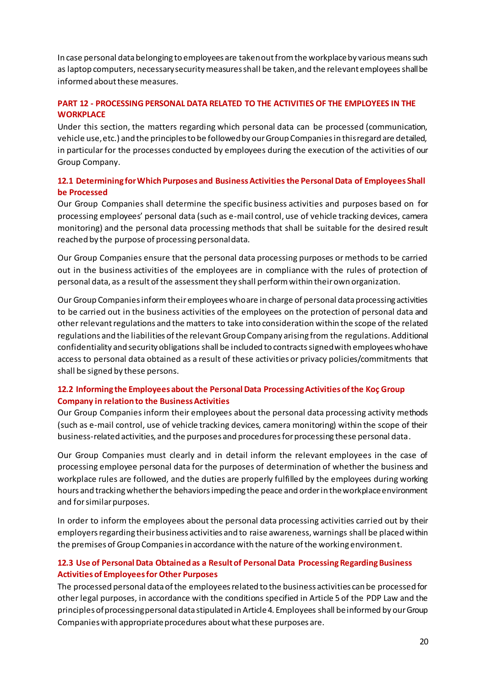In case personal data belonging to employees are taken out from the workplace by various means such as laptop computers, necessary security measures shall be taken, and the relevant employees shall be informed about these measures.

# <span id="page-19-0"></span>**PART 12 - PROCESSING PERSONAL DATA RELATED TO THE ACTIVITIES OF THE EMPLOYEES IN THE WORKPLACE**

Under this section, the matters regarding which personal data can be processed (communication, vehicle use, etc.) and the principles to be followed by our Group Companies in this regard are detailed, in particular for the processes conducted by employees during the execution of the activities of our Group Company.

# <span id="page-19-1"></span>**12.1 Determining for Which Purposes and Business Activitiesthe Personal Data of Employees Shall be Processed**

Our Group Companies shall determine the specific business activities and purposes based on for processing employees' personal data (such as e-mail control, use of vehicle tracking devices, camera monitoring) and the personal data processing methods that shall be suitable for the desired result reached by the purpose of processing personal data.

Our Group Companies ensure that the personal data processing purposes or methods to be carried out in the business activities of the employees are in compliance with the rules of protection of personal data, as a result of the assessment they shall perform within their own organization.

Our Group Companies inform their employees who are in charge of personal data processing activities to be carried out in the business activities of the employees on the protection of personal data and other relevant regulations and the matters to take into consideration within the scope of the related regulations and the liabilities of the relevant Group Company arising from the regulations. Additional confidentiality and security obligations shall be included to contracts signedwith employees who have access to personal data obtained as a result of these activities or privacy policies/commitments that shall be signed by these persons.

# <span id="page-19-2"></span>**12.2 Informing the Employees about the Personal Data Processing Activities of the Koç Group Company in relation to the Business Activities**

Our Group Companies inform their employees about the personal data processing activity methods (such as e-mail control, use of vehicle tracking devices, camera monitoring) within the scope of their business-related activities, and the purposes and procedures for processing these personal data.

Our Group Companies must clearly and in detail inform the relevant employees in the case of processing employee personal data for the purposes of determination of whether the business and workplace rules are followed, and the duties are properly fulfilled by the employees during working hours and tracking whether the behaviorsimpeding the peace and order in the workplace environment and for similar purposes.

In order to inform the employees about the personal data processing activities carried out by their employers regarding their business activities and to raise awareness, warnings shall be placed within the premises of Group Companies in accordance with the nature of the working environment.

# <span id="page-19-3"></span>**12.3 Use of Personal Data Obtained as a Result of Personal Data Processing Regarding Business Activities of Employees for Other Purposes**

The processed personal data of the employees related to the business activities can be processed for other legal purposes, in accordance with the conditions specified in Article 5 of the PDP Law and the principles of processing personal data stipulated in Article 4. Employees shall beinformed by our Group Companies with appropriate procedures about what these purposes are.